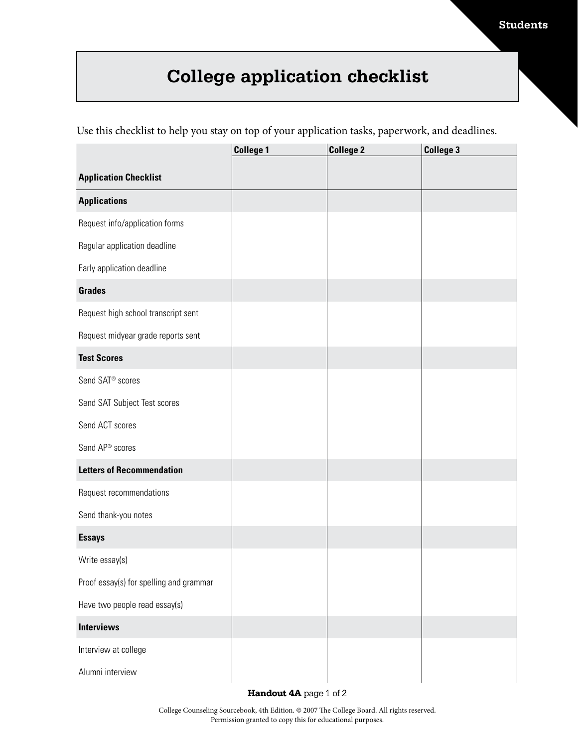## **Students**

## **College application checklist**

Use this checklist to help you stay on top of your application tasks, paperwork, and deadlines.

|                                         | <b>College 1</b> | <b>College 2</b> | <b>College 3</b> |
|-----------------------------------------|------------------|------------------|------------------|
| <b>Application Checklist</b>            |                  |                  |                  |
| <b>Applications</b>                     |                  |                  |                  |
| Request info/application forms          |                  |                  |                  |
| Regular application deadline            |                  |                  |                  |
| Early application deadline              |                  |                  |                  |
| <b>Grades</b>                           |                  |                  |                  |
| Request high school transcript sent     |                  |                  |                  |
| Request midyear grade reports sent      |                  |                  |                  |
| <b>Test Scores</b>                      |                  |                  |                  |
| Send SAT <sup>®</sup> scores            |                  |                  |                  |
| Send SAT Subject Test scores            |                  |                  |                  |
| Send ACT scores                         |                  |                  |                  |
| Send AP® scores                         |                  |                  |                  |
| <b>Letters of Recommendation</b>        |                  |                  |                  |
| Request recommendations                 |                  |                  |                  |
| Send thank-you notes                    |                  |                  |                  |
| <b>Essays</b>                           |                  |                  |                  |
| Write essay(s)                          |                  |                  |                  |
| Proof essay(s) for spelling and grammar |                  |                  |                  |
| Have two people read essay(s)           |                  |                  |                  |
| <b>Interviews</b>                       |                  |                  |                  |
| Interview at college                    |                  |                  |                  |
| Alumni interview                        |                  |                  |                  |

**Handout 4A** page 1 of 2